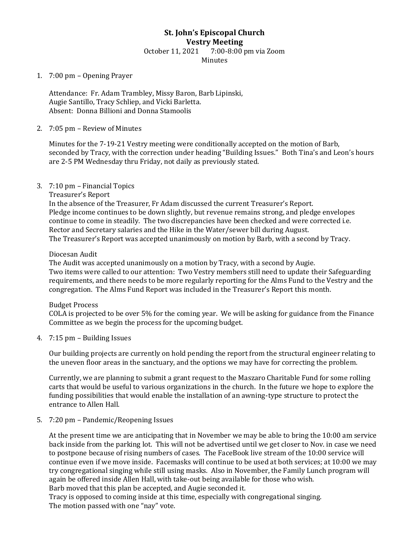# **St. John's Episcopal Church Vestry Meeting** October 11, 2021 7:00-8:00 pm via Zoom Minutes

## 1. 7:00 pm – Opening Prayer

Attendance: Fr. Adam Trambley, Missy Baron, Barb Lipinski, Augie Santillo, Tracy Schliep, and Vicki Barletta. Absent: Donna Billioni and Donna Stamoolis

## 2. 7:05 pm – Review of Minutes

Minutes for the 7-19-21 Vestry meeting were conditionally accepted on the motion of Barb, seconded by Tracy, with the correction under heading "Building Issues." Both Tina's and Leon's hours are 2-5 PM Wednesday thru Friday, not daily as previously stated.

#### 3. 7:10 pm – Financial Topics

Treasurer's Report

In the absence of the Treasurer, Fr Adam discussed the current Treasurer's Report. Pledge income continues to be down slightly, but revenue remains strong, and pledge envelopes continue to come in steadily. The two discrepancies have been checked and were corrected i.e. Rector and Secretary salaries and the Hike in the Water/sewer bill during August. The Treasurer's Report was accepted unanimously on motion by Barb, with a second by Tracy.

#### Diocesan Audit

The Audit was accepted unanimously on a motion by Tracy, with a second by Augie. Two items were called to our attention: Two Vestry members still need to update their Safeguarding requirements, and there needs to be more regularly reporting for the Alms Fund to the Vestry and the congregation. The Alms Fund Report was included in the Treasurer's Report this month.

#### Budget Process

COLA is projected to be over 5% for the coming year. We will be asking for guidance from the Finance Committee as we begin the process for the upcoming budget.

4. 7:15 pm – Building Issues

Our building projects are currently on hold pending the report from the structural engineer relating to the uneven floor areas in the sanctuary, and the options we may have for correcting the problem.

Currently, we are planning to submit a grant request to the Maszaro Charitable Fund for some rolling carts that would be useful to various organizations in the church. In the future we hope to explore the funding possibilities that would enable the installation of an awning-type structure to protect the entrance to Allen Hall.

## 5. 7:20 pm – Pandemic/Reopening Issues

At the present time we are anticipating that in November we may be able to bring the 10:00 am service back inside from the parking lot. This will not be advertised until we get closer to Nov. in case we need to postpone because of rising numbers of cases. The FaceBook live stream of the 10:00 service will continue even if we move inside. Facemasks will continue to be used at both services; at 10:00 we may try congregational singing while still using masks. Also in November, the Family Lunch program will again be offered inside Allen Hall, with take-out being available for those who wish.

Barb moved that this plan be accepted, and Augie seconded it.

Tracy is opposed to coming inside at this time, especially with congregational singing. The motion passed with one "nay" vote.